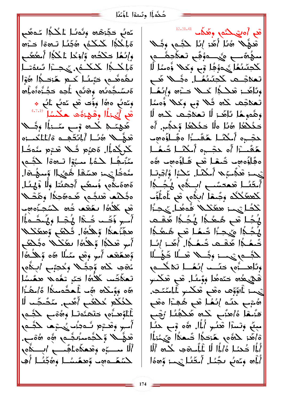حُجْهَ إِلَّا وِنُبِيهَا لِمَوْيُنَا

عْصُ حَجَّرْهُه وِنُمَلًا لَمْكُمُّا عُمِّمَع كَلِمُلاَ كُلُّكُمْ هُجُنًا تَـهِوَا حَـْرَه وِ)ِنُمَا حَكْدُه وِّ/وْكُا لِمُكْلًا أَعْلَامُهِمْ مَاحُكُمْ! كَكَنَكُمْ. يُحِسَّرْا سُمُصَـا ىھُەھُــە ِ دَبُنـُـا كَـــع هُـزَنـــدًا هُوْا كَاسْتَبْتَدْتُمْ وْشْتُمْ ۖ أَجِهِ حَجُّـزُّهِ أَمْلِهِ وَعَهْلٍ هَ وَأَوْ هُمْ عَهْلٍ عَلَى اللَّهِ هْمِ أَيْهَٰذَا وِصْهُمْهُمْ مُكْسُنًا ۚ کُومَـٰۂِ کُـُ∞ وٓب مَـٰۂِلَٰٓ وَجُـُـلا هَدُمْ \* هُنُـا أَبِانَحُهِــه هُالْمُلَحُسِـزِهِ َكُرِيَكُم<sup>ِّ</sup>اً, ەُھبُھ *شُ*لا شَبْع مُدَفَّا مَنُوكُم لَكُمُ مِجْوَا تَاهُمَا لَكُمْ مِ مَّدَّمَاتِ بِهِ مِنْ الْكُلُّهِ الْقَيْمَةِ مِنْ الْخَدَّةِ الْمُسَامَّةِ مِنْ ەُھەَنىلُەر وُمىغَىن أُجھنُدَا وِلَا وْلِيْنَا. ەبَّىلُّم شَىجُّە ھُـەھَجَدًّا وٖھَـَـْىلا هْمِ لْمَلْأُهُ الْمُعْلَمُ ذُهِ لِمُنْجِزُهِ وَبِ أُسِبِ وَّكُــب كُــٰٰٓ\$ا لِمُـجْـا وِلُمِـحُــٰهِ اُ هِجَنَعِمَا وَلِلاَهَا. ثَلاَكُم وَمِعَنَـْلا أُمِرِ مَكِّدًا وَّكَدُّهُ! بِعَكَـلا هُكِكُمْ مَ وَهِهُهُم أَمِرٍ وَهُم مِّمَلًا هَءٍ وَهْلُجُواْ نُهْدِ لَاهِ وَجِدًّا وِكْجَبِ ابْلَاهِ تَمَكِّضَتَ كَلاَهُ! حَبِّرٍ تَمُّدَيْلِ هَمْشَا اَهُهِ وَوَّىلُهُ ﴾ فِي الْمَحْدِمِنْهُ الْهُمُنَارِ ِلْمُنَكُمْ يُ*لِ*ْقُنِي أَهُنِي. مَثْخُبُت لَ*ّا* لْمَلَوُّهِ أَمَارُ مِنْهُمْ مِنْ الْمُؤْمَنِ وَالْمُحَمَّدِينَ مِنْ الْمَرْضَى أسبو وتحشوه تسمئه يحشيها للأسم أَلَّا مِــَّبُو وِتَعْمَلُومَاهَــــمِ السِّنَاوِمِ للسَّمَّــــــــوب وِّهمَّـــمُــــل وَهُجَنُـــل أَهِـــــو

قع أەنئىكئە وقُكّمت المىللىنىڭ ْ شَوْيَكَ ۚ هُنَا أُهَٰذِ إِنَا ۖ حَجَّـهِ ۚ وَجَّــٰكَ ۖ ۖ رِمَـــْمَجِمْعَةَ بِــْهُمْـِــْمِنُ بِــَــْمَهْمِـه لْأَلْمَدُهُا يُحَوُّفُا فِي وَكَلا وُّوسُا لَّا تعلابْــم كْجِئْتْفْـا. ەبَّــلا هُــم وِتَلَهَٰــ: هَــٰـٰہُ! حَــٰلاً حَــٰٓ;ہ وِ)ِتُـهُــاً لْعَلَاجُكَ لَمُلَّةٌ فَلَا قِي وَكَلاً وَْوَسُلِ وِهُدوهُا نَاهُد; لَا تَعِذْبَـْتَ لَاهُ لَا حَذُكْمًا هُنَا هِلًا حَذُكْمًا وِّحَكَّبِ أَه حجْبِره أَمِكْسًا هَقَمِيُّا وَقَبَاؤُوهِم هَقَـــٰٓ;ا أَه حجَــبِهِ أَحكـُــا خُـهُــا ەقُاؤُەھٖٮ تُىقْل شَى قُـاؤُەھٖٮ ھُە يَ وَهَجَمَعَ مِنْ أَسْكَنَا. عَكَبُرا وَاجْرِتْنَا أَمْخَلُــا هُـعْتَمَـــعِ ابِــٰكُمِ لِمُـِّـِّـِكُمَا كَعِعَكْكُمْ وَجَمْهَاْ ابْذُوبِ ثَمِّ لَمْمَلُؤُب لَخُطْ يَهِمَ وَالْمُكَلَّةِ مَعَنَّ الْخُطْرَ لَيُجُلُ هُم هُيمُنَّهُۥ لَيُجُبُّهُۥ هُنْقَـبَ اَمُحُجًّا عَجِجًا خُمُّا هُم هُمْدُبًّا تُعمُـٰۃٗا مَّٰفَـٰڡ تُـٰمُـٰۃٗاٰ. اُمَّـٰٓٓٓ اِنُـٰا للْكُمِّ لْلْكَ هَـٰلًا قَصِيرٌ وَحَـٰلًا تَكْلُمُ وِتَاهِـــأَىٰ حَتّـــا لِنُعُــا تَمْكُـــىٰ َفْكِي هُدَه حَمَّدَهُا وَوَّسُل هُم هُكْسَر يَّسِنَ ـُأَاؤَوِّهَـ هَكُسُو ـُأَبِلْمُمُّـبَ. الله عنه الله أن الله منه منها الله عنها الله عنه الله عنه منها الله عنه الله عنه الله عنه الله عنه َفَنُمْلَ هُ/هُنَى ۚ كَلِهِ ۚ هَٰلِكُفُا ۚ رُضۡمَ مِينَ وِتَسَارًا هَنُبِرٍ أَلَمَّالٍ هُو قِبِ حَيْلًا أَمَنْهُمْ لَهُ مَنْ الْجَمَعَةُ مِنْ هُذَا عَيْمًا } أَلَمُّا خُمْـًا هُ/بِاًا لَّا غَلَمْــــــــْجِ حَــــحِ ٱلْل أَبْلَهِ وِعَهِ لَا مَكْسًا. أَحَكَـٰا يَهْمَ وَهُهَا